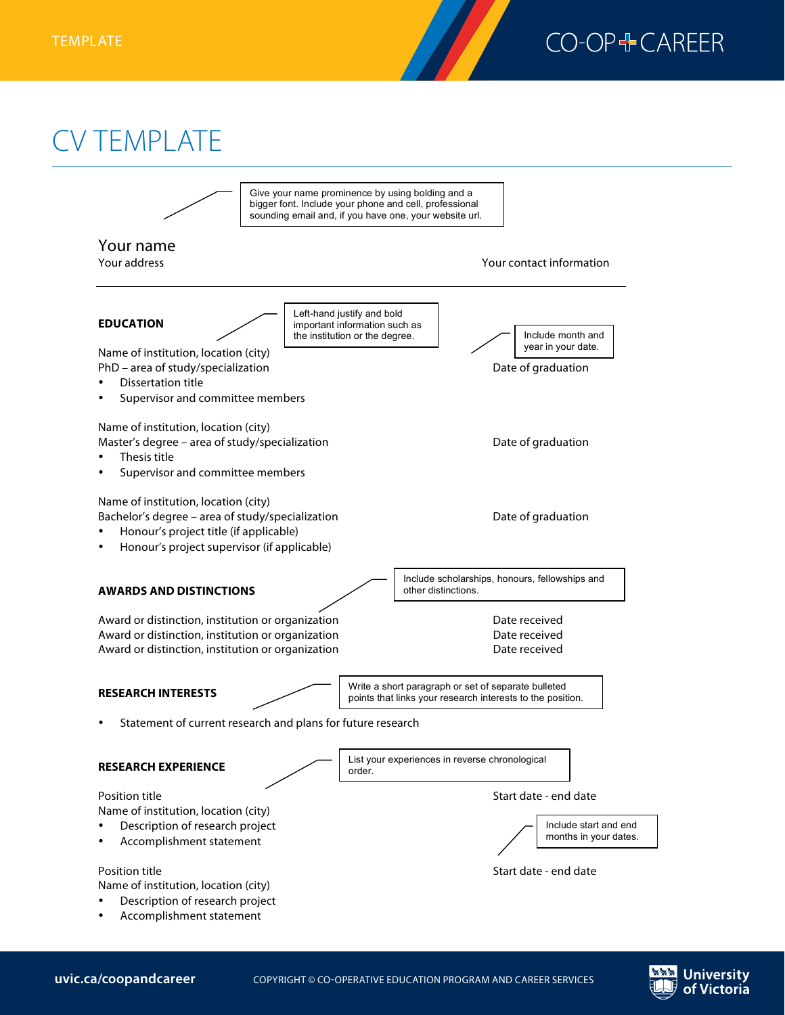

## CV TEMPLATE